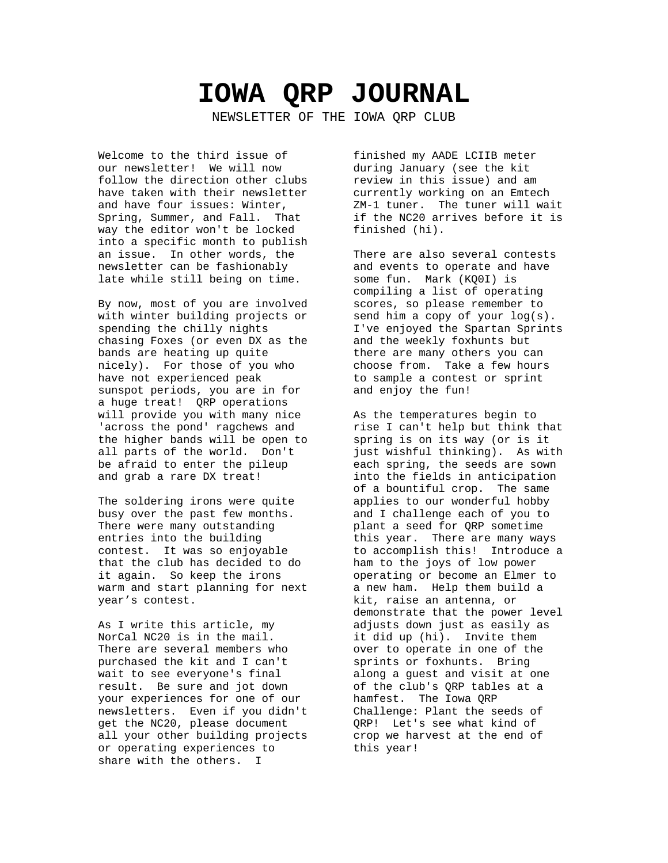# **IOWA QRP JOURNAL**

NEWSLETTER OF THE IOWA QRP CLUB

Welcome to the third issue of our newsletter! We will now follow the direction other clubs have taken with their newsletter and have four issues: Winter, Spring, Summer, and Fall. That way the editor won't be locked into a specific month to publish an issue. In other words, the newsletter can be fashionably late while still being on time.

By now, most of you are involved with winter building projects or spending the chilly nights chasing Foxes (or even DX as the bands are heating up quite nicely). For those of you who have not experienced peak sunspot periods, you are in for a huge treat! QRP operations will provide you with many nice 'across the pond' ragchews and the higher bands will be open to all parts of the world. Don't be afraid to enter the pileup and grab a rare DX treat!

The soldering irons were quite busy over the past few months. There were many outstanding entries into the building contest. It was so enjoyable that the club has decided to do it again. So keep the irons warm and start planning for next year's contest.

As I write this article, my NorCal NC20 is in the mail. There are several members who purchased the kit and I can't wait to see everyone's final result. Be sure and jot down your experiences for one of our newsletters. Even if you didn't get the NC20, please document all your other building projects or operating experiences to share with the others. I

finished my AADE LCIIB meter during January (see the kit review in this issue) and am currently working on an Emtech ZM-1 tuner. The tuner will wait if the NC20 arrives before it is finished (hi).

There are also several contests and events to operate and have some fun. Mark (KQ0I) is compiling a list of operating scores, so please remember to send him a copy of your log(s). I've enjoyed the Spartan Sprints and the weekly foxhunts but there are many others you can choose from. Take a few hours to sample a contest or sprint and enjoy the fun!

As the temperatures begin to rise I can't help but think that spring is on its way (or is it just wishful thinking). As with each spring, the seeds are sown into the fields in anticipation of a bountiful crop. The same applies to our wonderful hobby and I challenge each of you to plant a seed for QRP sometime this year. There are many ways to accomplish this! Introduce a ham to the joys of low power operating or become an Elmer to a new ham. Help them build a kit, raise an antenna, or demonstrate that the power level adjusts down just as easily as it did up (hi). Invite them over to operate in one of the sprints or foxhunts. Bring along a guest and visit at one of the club's QRP tables at a hamfest. The Iowa QRP Challenge: Plant the seeds of QRP! Let's see what kind of crop we harvest at the end of this year!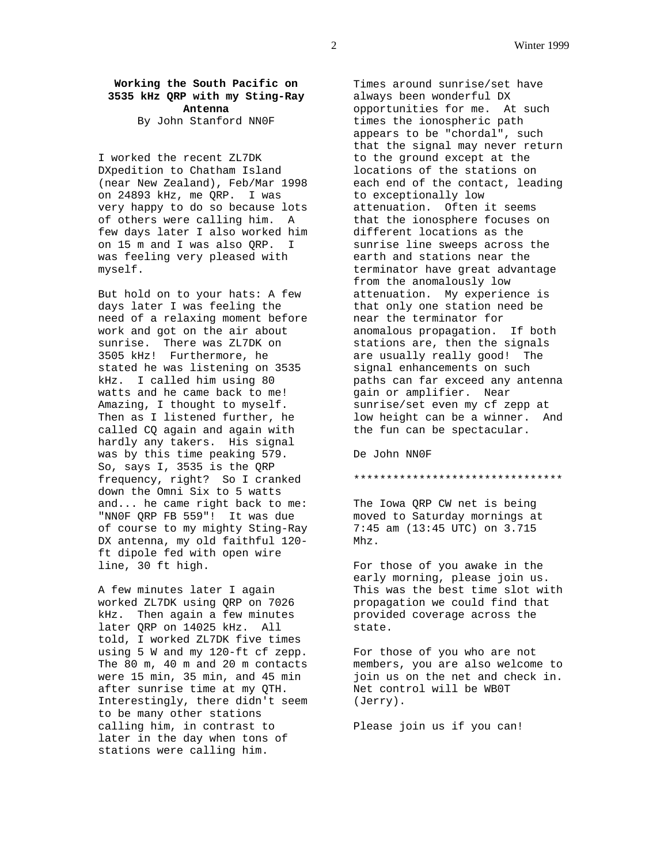## **Working the South Pacific on 3535 kHz QRP with my Sting-Ray Antenna**

By John Stanford NN0F

I worked the recent ZL7DK DXpedition to Chatham Island (near New Zealand), Feb/Mar 1998 on 24893 kHz, me QRP. I was very happy to do so because lots of others were calling him. A few days later I also worked him on 15 m and I was also QRP. I was feeling very pleased with myself.

But hold on to your hats: A few days later I was feeling the need of a relaxing moment before work and got on the air about sunrise. There was ZL7DK on 3505 kHz! Furthermore, he stated he was listening on 3535 kHz. I called him using 80 watts and he came back to me! Amazing, I thought to myself. Then as I listened further, he called CQ again and again with hardly any takers. His signal was by this time peaking 579. So, says I, 3535 is the QRP frequency, right? So I cranked down the Omni Six to 5 watts and... he came right back to me: "NN0F QRP FB 559"! It was due of course to my mighty Sting-Ray DX antenna, my old faithful 120 ft dipole fed with open wire line, 30 ft high.

A few minutes later I again worked ZL7DK using QRP on 7026 kHz. Then again a few minutes later QRP on 14025 kHz. All told, I worked ZL7DK five times using 5 W and my 120-ft cf zepp. The 80 m, 40 m and 20 m contacts were 15 min, 35 min, and 45 min after sunrise time at my QTH. Interestingly, there didn't seem to be many other stations calling him, in contrast to later in the day when tons of stations were calling him.

Times around sunrise/set have always been wonderful DX opportunities for me. At such times the ionospheric path appears to be "chordal", such that the signal may never return to the ground except at the locations of the stations on each end of the contact, leading to exceptionally low attenuation. Often it seems that the ionosphere focuses on different locations as the sunrise line sweeps across the earth and stations near the terminator have great advantage from the anomalously low attenuation. My experience is that only one station need be near the terminator for anomalous propagation. If both stations are, then the signals are usually really good! The signal enhancements on such paths can far exceed any antenna gain or amplifier. Near sunrise/set even my cf zepp at low height can be a winner. And the fun can be spectacular.

De John NN0F

#### \*\*\*\*\*\*\*\*\*\*\*\*\*\*\*\*\*\*\*\*\*\*\*\*\*\*\*\*\*\*\*\*

The Iowa QRP CW net is being moved to Saturday mornings at 7:45 am (13:45 UTC) on 3.715 Mhz.

For those of you awake in the early morning, please join us. This was the best time slot with propagation we could find that provided coverage across the state.

For those of you who are not members, you are also welcome to join us on the net and check in. Net control will be WB0T (Jerry).

Please join us if you can!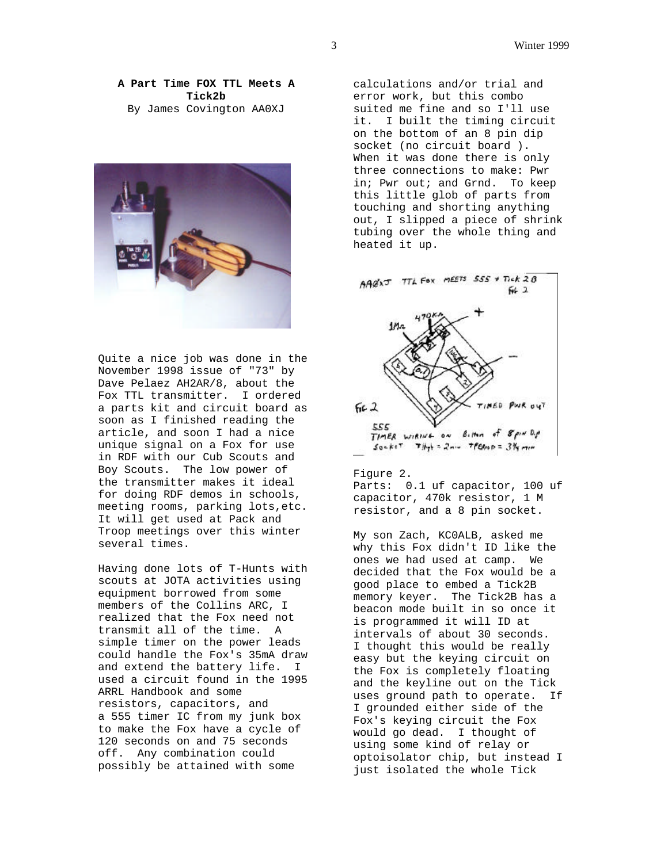**A Part Time FOX TTL Meets A Tick2b** By James Covington AA0XJ



Quite a nice job was done in the November 1998 issue of "73" by Dave Pelaez AH2AR/8, about the Fox TTL transmitter. I ordered a parts kit and circuit board as soon as I finished reading the article, and soon I had a nice unique signal on a Fox for use in RDF with our Cub Scouts and Boy Scouts. The low power of the transmitter makes it ideal for doing RDF demos in schools, meeting rooms, parking lots,etc. It will get used at Pack and Troop meetings over this winter several times.

Having done lots of T-Hunts with scouts at JOTA activities using equipment borrowed from some members of the Collins ARC, I realized that the Fox need not transmit all of the time. A simple timer on the power leads could handle the Fox's 35mA draw and extend the battery life. I used a circuit found in the 1995 ARRL Handbook and some resistors, capacitors, and a 555 timer IC from my junk box to make the Fox have a cycle of 120 seconds on and 75 seconds off. Any combination could possibly be attained with some

calculations and/or trial and error work, but this combo suited me fine and so I'll use it. I built the timing circuit on the bottom of an 8 pin dip socket (no circuit board ). When it was done there is only three connections to make: Pwr in; Pwr out; and Grnd. To keep this little glob of parts from touching and shorting anything out, I slipped a piece of shrink tubing over the whole thing and heated it up.



#### Figure 2.

Parts: 0.1 uf capacitor, 100 uf capacitor, 470k resistor, 1 M resistor, and a 8 pin socket.

My son Zach, KC0ALB, asked me why this Fox didn't ID like the ones we had used at camp. We decided that the Fox would be a good place to embed a Tick2B memory keyer. The Tick2B has a beacon mode built in so once it is programmed it will ID at intervals of about 30 seconds. I thought this would be really easy but the keying circuit on the Fox is completely floating and the keyline out on the Tick uses ground path to operate. If I grounded either side of the Fox's keying circuit the Fox would go dead. I thought of using some kind of relay or optoisolator chip, but instead I just isolated the whole Tick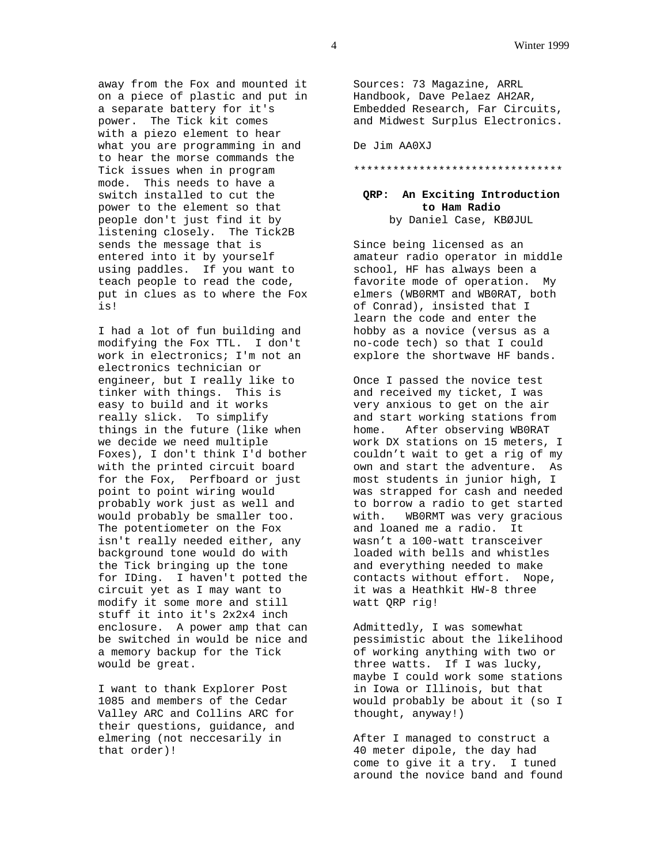away from the Fox and mounted it on a piece of plastic and put in a separate battery for it's power. The Tick kit comes with a piezo element to hear what you are programming in and to hear the morse commands the Tick issues when in program mode. This needs to have a switch installed to cut the power to the element so that people don't just find it by listening closely. The Tick2B sends the message that is entered into it by yourself using paddles. If you want to teach people to read the code, put in clues as to where the Fox is!

I had a lot of fun building and modifying the Fox TTL. I don't work in electronics; I'm not an electronics technician or engineer, but I really like to tinker with things. This is easy to build and it works really slick. To simplify things in the future (like when we decide we need multiple Foxes), I don't think I'd bother with the printed circuit board for the Fox, Perfboard or just point to point wiring would probably work just as well and would probably be smaller too. The potentiometer on the Fox isn't really needed either, any background tone would do with the Tick bringing up the tone for IDing. I haven't potted the circuit yet as I may want to modify it some more and still stuff it into it's 2x2x4 inch enclosure. A power amp that can be switched in would be nice and a memory backup for the Tick would be great.

I want to thank Explorer Post 1085 and members of the Cedar Valley ARC and Collins ARC for their questions, guidance, and elmering (not neccesarily in that order)!

Sources: 73 Magazine, ARRL Handbook, Dave Pelaez AH2AR, Embedded Research, Far Circuits, and Midwest Surplus Electronics.

De Jim AA0XJ

#### \*\*\*\*\*\*\*\*\*\*\*\*\*\*\*\*\*\*\*\*\*\*\*\*\*\*\*\*\*\*\*\*

## **QRP: An Exciting Introduction to Ham Radio** by Daniel Case, KBØJUL

Since being licensed as an amateur radio operator in middle school, HF has always been a favorite mode of operation. My elmers (WB0RMT and WB0RAT, both of Conrad), insisted that I learn the code and enter the hobby as a novice (versus as a no-code tech) so that I could explore the shortwave HF bands.

Once I passed the novice test and received my ticket, I was very anxious to get on the air and start working stations from home. After observing WB0RAT work DX stations on 15 meters, I couldn't wait to get a rig of my own and start the adventure. As most students in junior high, I was strapped for cash and needed to borrow a radio to get started with. WB0RMT was very gracious and loaned me a radio. It wasn't a 100-watt transceiver loaded with bells and whistles and everything needed to make contacts without effort. Nope, it was a Heathkit HW-8 three watt QRP rig!

Admittedly, I was somewhat pessimistic about the likelihood of working anything with two or three watts. If I was lucky, maybe I could work some stations in Iowa or Illinois, but that would probably be about it (so I thought, anyway!)

After I managed to construct a 40 meter dipole, the day had come to give it a try. I tuned around the novice band and found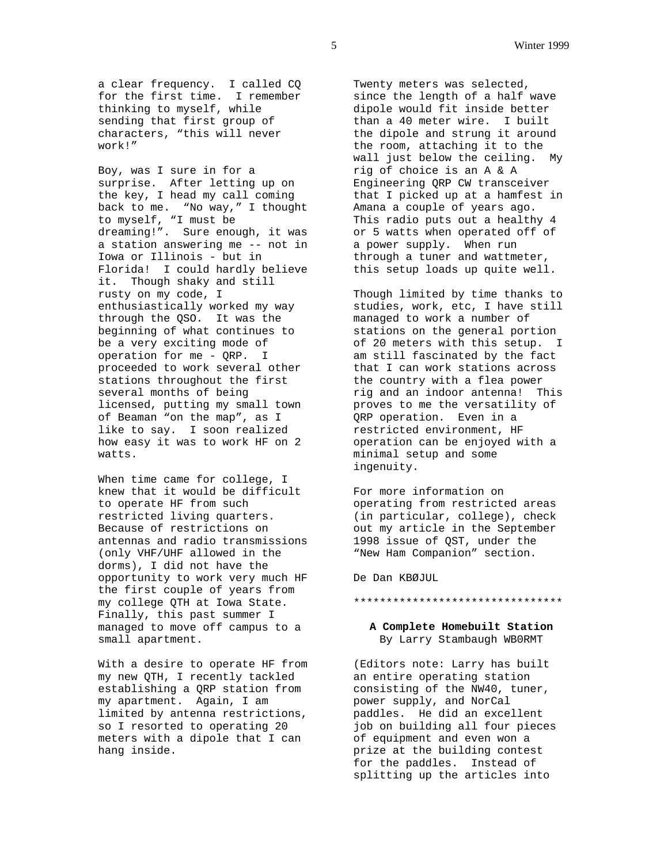a clear frequency. I called CQ for the first time. I remember thinking to myself, while sending that first group of characters, "this will never work!"

Boy, was I sure in for a surprise. After letting up on the key, I head my call coming back to me. "No way," I thought to myself, "I must be dreaming!". Sure enough, it was a station answering me -- not in Iowa or Illinois - but in Florida! I could hardly believe it. Though shaky and still rusty on my code, I enthusiastically worked my way through the QSO. It was the beginning of what continues to be a very exciting mode of operation for me - QRP. I proceeded to work several other stations throughout the first several months of being licensed, putting my small town of Beaman "on the map", as I like to say. I soon realized how easy it was to work HF on 2 watts.

When time came for college, I knew that it would be difficult to operate HF from such restricted living quarters. Because of restrictions on antennas and radio transmissions (only VHF/UHF allowed in the dorms), I did not have the opportunity to work very much HF the first couple of years from my college QTH at Iowa State. Finally, this past summer I managed to move off campus to a small apartment.

With a desire to operate HF from my new QTH, I recently tackled establishing a QRP station from my apartment. Again, I am limited by antenna restrictions, so I resorted to operating 20 meters with a dipole that I can hang inside.

Twenty meters was selected, since the length of a half wave dipole would fit inside better than a 40 meter wire. I built the dipole and strung it around the room, attaching it to the wall just below the ceiling. My rig of choice is an A & A Engineering QRP CW transceiver that I picked up at a hamfest in Amana a couple of years ago. This radio puts out a healthy 4 or 5 watts when operated off of a power supply. When run through a tuner and wattmeter, this setup loads up quite well.

Though limited by time thanks to studies, work, etc, I have still managed to work a number of stations on the general portion of 20 meters with this setup. I am still fascinated by the fact that I can work stations across the country with a flea power rig and an indoor antenna! This proves to me the versatility of QRP operation. Even in a restricted environment, HF operation can be enjoyed with a minimal setup and some ingenuity.

For more information on operating from restricted areas (in particular, college), check out my article in the September 1998 issue of QST, under the "New Ham Companion" section.

De Dan KBØJUL

#### \*\*\*\*\*\*\*\*\*\*\*\*\*\*\*\*\*\*\*\*\*\*\*\*\*\*\*\*\*\*\*\*

## **A Complete Homebuilt Station** By Larry Stambaugh WB0RMT

(Editors note: Larry has built an entire operating station consisting of the NW40, tuner, power supply, and NorCal paddles. He did an excellent job on building all four pieces of equipment and even won a prize at the building contest for the paddles. Instead of splitting up the articles into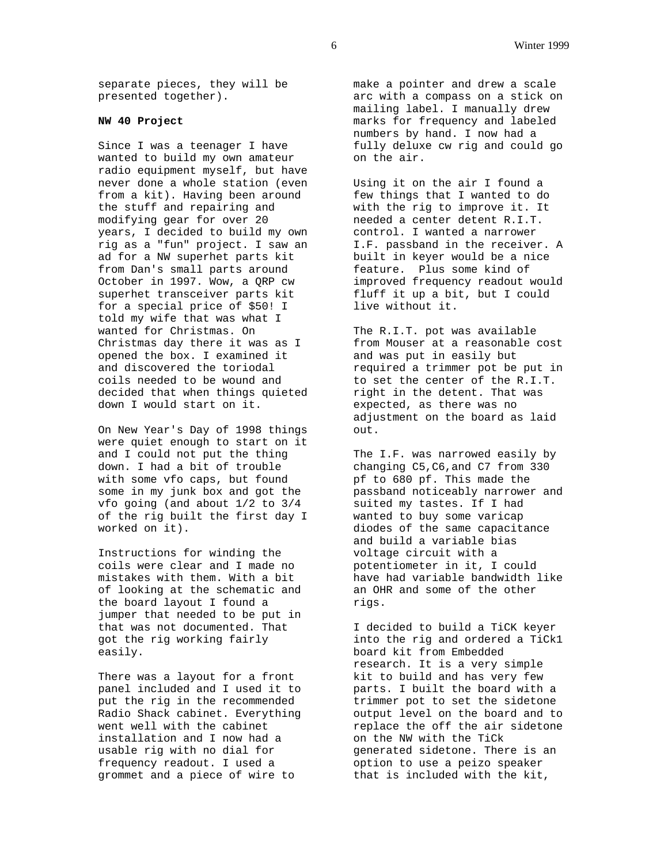separate pieces, they will be presented together).

## **NW 40 Project**

Since I was a teenager I have wanted to build my own amateur radio equipment myself, but have never done a whole station (even from a kit). Having been around the stuff and repairing and modifying gear for over 20 years, I decided to build my own rig as a "fun" project. I saw an ad for a NW superhet parts kit from Dan's small parts around October in 1997. Wow, a QRP cw superhet transceiver parts kit for a special price of \$50! I told my wife that was what I wanted for Christmas. On Christmas day there it was as I opened the box. I examined it and discovered the toriodal coils needed to be wound and decided that when things quieted down I would start on it.

On New Year's Day of 1998 things were quiet enough to start on it and I could not put the thing down. I had a bit of trouble with some vfo caps, but found some in my junk box and got the vfo going (and about 1/2 to 3/4 of the rig built the first day I worked on it).

Instructions for winding the coils were clear and I made no mistakes with them. With a bit of looking at the schematic and the board layout I found a jumper that needed to be put in that was not documented. That got the rig working fairly easily.

There was a layout for a front panel included and I used it to put the rig in the recommended Radio Shack cabinet. Everything went well with the cabinet installation and I now had a usable rig with no dial for frequency readout. I used a grommet and a piece of wire to

make a pointer and drew a scale arc with a compass on a stick on mailing label. I manually drew marks for frequency and labeled numbers by hand. I now had a fully deluxe cw rig and could go on the air.

Using it on the air I found a few things that I wanted to do with the rig to improve it. It needed a center detent R.I.T. control. I wanted a narrower I.F. passband in the receiver. A built in keyer would be a nice feature. Plus some kind of improved frequency readout would fluff it up a bit, but I could live without it.

The R.I.T. pot was available from Mouser at a reasonable cost and was put in easily but required a trimmer pot be put in to set the center of the R.I.T. right in the detent. That was expected, as there was no adjustment on the board as laid out.

The I.F. was narrowed easily by changing C5,C6,and C7 from 330 pf to 680 pf. This made the passband noticeably narrower and suited my tastes. If I had wanted to buy some varicap diodes of the same capacitance and build a variable bias voltage circuit with a potentiometer in it, I could have had variable bandwidth like an OHR and some of the other rigs.

I decided to build a TiCK keyer into the rig and ordered a TiCk1 board kit from Embedded research. It is a very simple kit to build and has very few parts. I built the board with a trimmer pot to set the sidetone output level on the board and to replace the off the air sidetone on the NW with the TiCk generated sidetone. There is an option to use a peizo speaker that is included with the kit,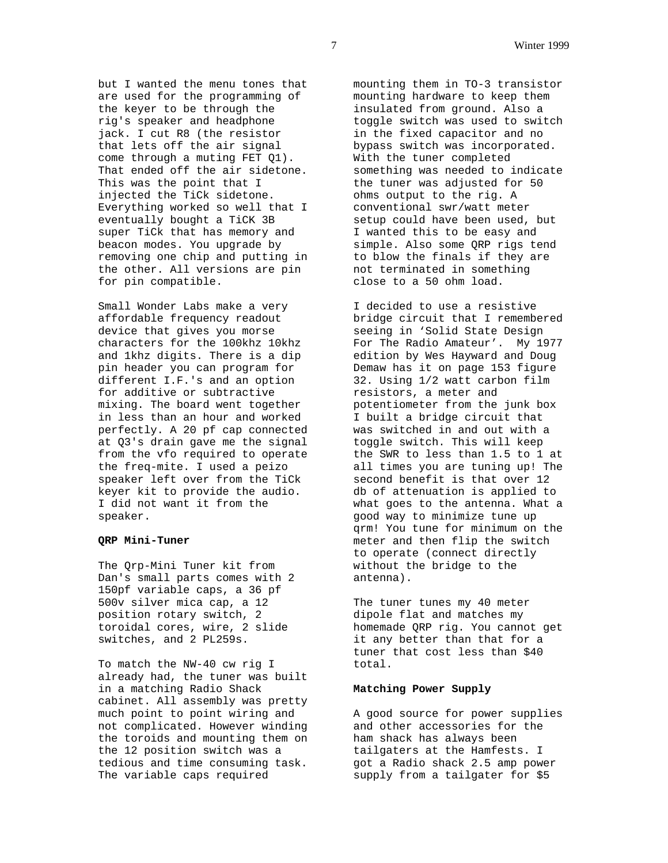but I wanted the menu tones that are used for the programming of the keyer to be through the rig's speaker and headphone jack. I cut R8 (the resistor that lets off the air signal come through a muting FET Q1). That ended off the air sidetone. This was the point that I injected the TiCk sidetone. Everything worked so well that I eventually bought a TiCK 3B super TiCk that has memory and beacon modes. You upgrade by removing one chip and putting in the other. All versions are pin for pin compatible.

Small Wonder Labs make a very affordable frequency readout device that gives you morse characters for the 100khz 10khz and 1khz digits. There is a dip pin header you can program for different I.F.'s and an option for additive or subtractive mixing. The board went together in less than an hour and worked perfectly. A 20 pf cap connected at Q3's drain gave me the signal from the vfo required to operate the freq-mite. I used a peizo speaker left over from the TiCk keyer kit to provide the audio. I did not want it from the speaker.

## **QRP Mini-Tuner**

The Qrp-Mini Tuner kit from Dan's small parts comes with 2 150pf variable caps, a 36 pf 500v silver mica cap, a 12 position rotary switch, 2 toroidal cores, wire, 2 slide switches, and 2 PL259s.

To match the NW-40 cw rig I already had, the tuner was built in a matching Radio Shack cabinet. All assembly was pretty much point to point wiring and not complicated. However winding the toroids and mounting them on the 12 position switch was a tedious and time consuming task. The variable caps required

mounting them in TO-3 transistor mounting hardware to keep them insulated from ground. Also a toggle switch was used to switch in the fixed capacitor and no bypass switch was incorporated. With the tuner completed something was needed to indicate the tuner was adjusted for 50 ohms output to the rig. A conventional swr/watt meter setup could have been used, but I wanted this to be easy and simple. Also some QRP rigs tend to blow the finals if they are not terminated in something close to a 50 ohm load.

I decided to use a resistive bridge circuit that I remembered seeing in 'Solid State Design For The Radio Amateur'. My 1977 edition by Wes Hayward and Doug Demaw has it on page 153 figure 32. Using 1/2 watt carbon film resistors, a meter and potentiometer from the junk box I built a bridge circuit that was switched in and out with a toggle switch. This will keep the SWR to less than 1.5 to 1 at all times you are tuning up! The second benefit is that over 12 db of attenuation is applied to what goes to the antenna. What a good way to minimize tune up qrm! You tune for minimum on the meter and then flip the switch to operate (connect directly without the bridge to the antenna).

The tuner tunes my 40 meter dipole flat and matches my homemade QRP rig. You cannot get it any better than that for a tuner that cost less than \$40 total.

## **Matching Power Supply**

A good source for power supplies and other accessories for the ham shack has always been tailgaters at the Hamfests. I got a Radio shack 2.5 amp power supply from a tailgater for \$5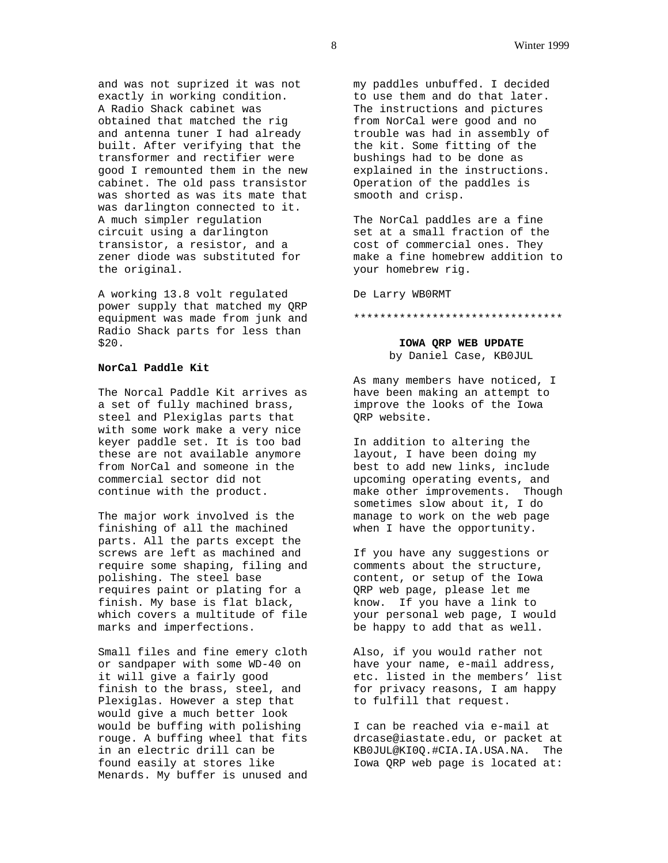and was not suprized it was not exactly in working condition. A Radio Shack cabinet was obtained that matched the rig and antenna tuner I had already built. After verifying that the transformer and rectifier were good I remounted them in the new cabinet. The old pass transistor was shorted as was its mate that was darlington connected to it. A much simpler regulation circuit using a darlington transistor, a resistor, and a zener diode was substituted for the original.

A working 13.8 volt regulated power supply that matched my QRP equipment was made from junk and Radio Shack parts for less than \$20.

## **NorCal Paddle Kit**

The Norcal Paddle Kit arrives as a set of fully machined brass, steel and Plexiglas parts that with some work make a very nice keyer paddle set. It is too bad these are not available anymore from NorCal and someone in the commercial sector did not continue with the product.

The major work involved is the finishing of all the machined parts. All the parts except the screws are left as machined and require some shaping, filing and polishing. The steel base requires paint or plating for a finish. My base is flat black, which covers a multitude of file marks and imperfections.

Small files and fine emery cloth or sandpaper with some WD-40 on it will give a fairly good finish to the brass, steel, and Plexiglas. However a step that would give a much better look would be buffing with polishing rouge. A buffing wheel that fits in an electric drill can be found easily at stores like Menards. My buffer is unused and

my paddles unbuffed. I decided to use them and do that later. The instructions and pictures from NorCal were good and no trouble was had in assembly of the kit. Some fitting of the bushings had to be done as explained in the instructions. Operation of the paddles is smooth and crisp.

The NorCal paddles are a fine set at a small fraction of the cost of commercial ones. They make a fine homebrew addition to your homebrew rig.

De Larry WB0RMT

#### \*\*\*\*\*\*\*\*\*\*\*\*\*\*\*\*\*\*\*\*\*\*\*\*\*\*\*\*\*\*\*\*

**IOWA QRP WEB UPDATE** by Daniel Case, KB0JUL

As many members have noticed, I have been making an attempt to improve the looks of the Iowa QRP website.

In addition to altering the layout, I have been doing my best to add new links, include upcoming operating events, and make other improvements. Though sometimes slow about it, I do manage to work on the web page when I have the opportunity.

If you have any suggestions or comments about the structure, content, or setup of the Iowa QRP web page, please let me know. If you have a link to your personal web page, I would be happy to add that as well.

Also, if you would rather not have your name, e-mail address, etc. listed in the members' list for privacy reasons, I am happy to fulfill that request.

I can be reached via e-mail at drcase@iastate.edu, or packet at KB0JUL@KI0Q.#CIA.IA.USA.NA. The Iowa QRP web page is located at: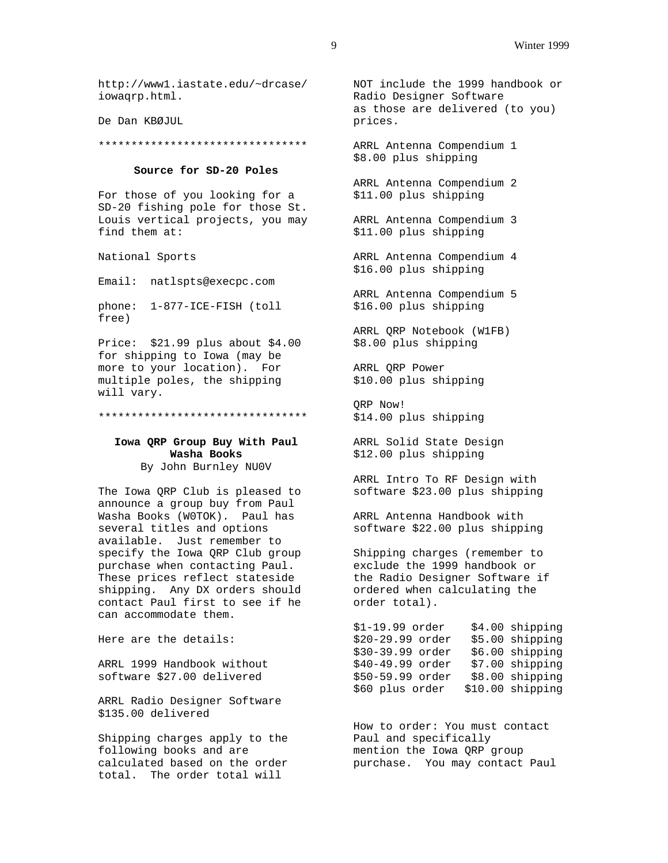http://www1.iastate.edu/~drcase/ iowaqrp.html.

De Dan KBØJUL

\*\*\*\*\*\*\*\*\*\*\*\*\*\*\*\*\*\*\*\*\*\*\*\*\*\*\*\*\*\*\*\*

#### **Source for SD-20 Poles**

For those of you looking for a SD-20 fishing pole for those St. Louis vertical projects, you may find them at:

National Sports

Email: natlspts@execpc.com

phone: 1-877-ICE-FISH (toll free)

Price: \$21.99 plus about \$4.00 for shipping to Iowa (may be more to your location). For multiple poles, the shipping will vary.

\*\*\*\*\*\*\*\*\*\*\*\*\*\*\*\*\*\*\*\*\*\*\*\*\*\*\*\*\*\*\*\*

## **Iowa QRP Group Buy With Paul Washa Books**

By John Burnley NU0V

The Iowa QRP Club is pleased to announce a group buy from Paul Washa Books (W0TOK). Paul has several titles and options available. Just remember to specify the Iowa QRP Club group purchase when contacting Paul. These prices reflect stateside shipping. Any DX orders should contact Paul first to see if he can accommodate them.

Here are the details:

ARRL 1999 Handbook without software \$27.00 delivered

ARRL Radio Designer Software \$135.00 delivered

Shipping charges apply to the Paul and specifically following books and are calculated based on the order total. The order total will

NOT include the 1999 handbook or Radio Designer Software as those are delivered (to you) prices.

ARRL Antenna Compendium 1 \$8.00 plus shipping

ARRL Antenna Compendium 2 \$11.00 plus shipping

ARRL Antenna Compendium 3 \$11.00 plus shipping

ARRL Antenna Compendium 4 \$16.00 plus shipping

ARRL Antenna Compendium 5 \$16.00 plus shipping

ARRL QRP Notebook (W1FB) \$8.00 plus shipping

ARRL QRP Power \$10.00 plus shipping

QRP Now! \$14.00 plus shipping

ARRL Solid State Design \$12.00 plus shipping

ARRL Intro To RF Design with software \$23.00 plus shipping

ARRL Antenna Handbook with software \$22.00 plus shipping

Shipping charges (remember to exclude the 1999 handbook or the Radio Designer Software if ordered when calculating the order total).

\$1-19.99 order \$4.00 shipping \$20-29.99 order \$5.00 shipping \$30-39.99 order \$6.00 shipping \$40-49.99 order \$7.00 shipping \$50-59.99 order \$8.00 shipping \$60 plus order \$10.00 shipping

How to order: You must contact mention the Iowa QRP group purchase. You may contact Paul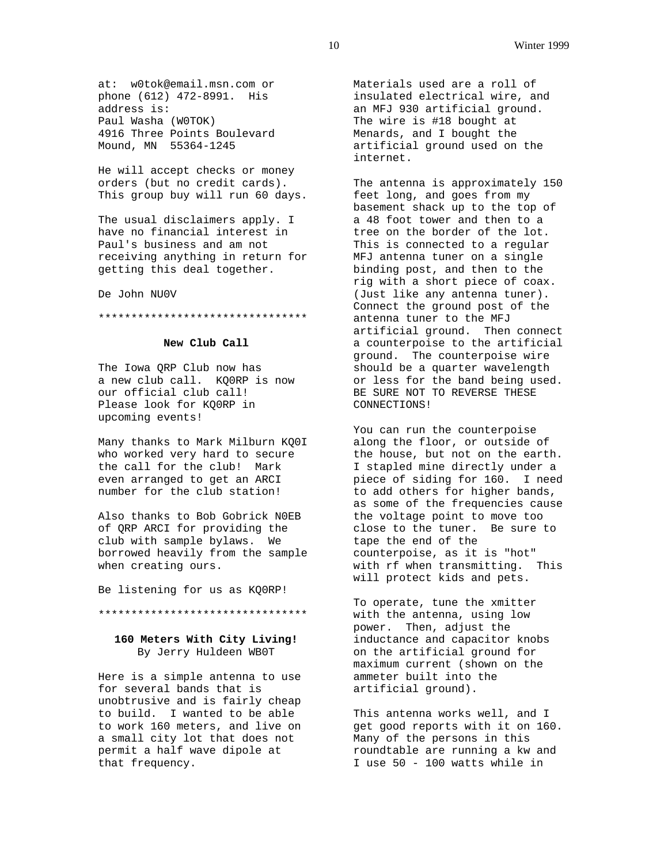at: w0tok@email.msn.com or phone (612) 472-8991. His address is: Paul Washa (W0TOK) 4916 Three Points Boulevard Mound, MN 55364-1245

He will accept checks or money orders (but no credit cards). This group buy will run 60 days.

The usual disclaimers apply. I have no financial interest in Paul's business and am not receiving anything in return for getting this deal together.

De John NU0V

#### \*\*\*\*\*\*\*\*\*\*\*\*\*\*\*\*\*\*\*\*\*\*\*\*\*\*\*\*\*\*\*\*

## **New Club Call**

The Iowa QRP Club now has a new club call. KQ0RP is now our official club call! Please look for KQ0RP in upcoming events!

Many thanks to Mark Milburn KQ0I who worked very hard to secure the call for the club! Mark even arranged to get an ARCI number for the club station!

Also thanks to Bob Gobrick N0EB of QRP ARCI for providing the club with sample bylaws. We borrowed heavily from the sample when creating ours.

Be listening for us as KQ0RP!

## \*\*\*\*\*\*\*\*\*\*\*\*\*\*\*\*\*\*\*\*\*\*\*\*\*\*\*\*\*\*\*\*

## **160 Meters With City Living!** By Jerry Huldeen WB0T

Here is a simple antenna to use for several bands that is unobtrusive and is fairly cheap to build. I wanted to be able to work 160 meters, and live on a small city lot that does not permit a half wave dipole at that frequency.

Materials used are a roll of insulated electrical wire, and an MFJ 930 artificial ground. The wire is #18 bought at Menards, and I bought the artificial ground used on the internet.

The antenna is approximately 150 feet long, and goes from my basement shack up to the top of a 48 foot tower and then to a tree on the border of the lot. This is connected to a regular MFJ antenna tuner on a single binding post, and then to the rig with a short piece of coax. (Just like any antenna tuner). Connect the ground post of the antenna tuner to the MFJ artificial ground. Then connect a counterpoise to the artificial ground. The counterpoise wire should be a quarter wavelength or less for the band being used. BE SURE NOT TO REVERSE THESE CONNECTIONS!

You can run the counterpoise along the floor, or outside of the house, but not on the earth. I stapled mine directly under a piece of siding for 160. I need to add others for higher bands, as some of the frequencies cause the voltage point to move too close to the tuner. Be sure to tape the end of the counterpoise, as it is "hot" with rf when transmitting. This will protect kids and pets.

To operate, tune the xmitter with the antenna, using low power. Then, adjust the inductance and capacitor knobs on the artificial ground for maximum current (shown on the ammeter built into the artificial ground).

This antenna works well, and I get good reports with it on 160. Many of the persons in this roundtable are running a kw and I use 50 - 100 watts while in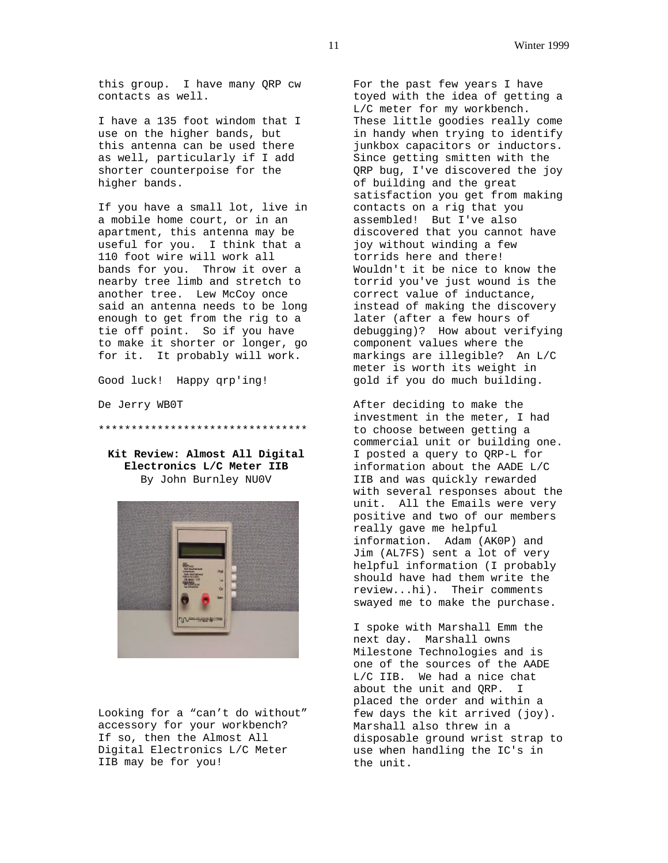this group. I have many QRP cw contacts as well.

I have a 135 foot windom that I use on the higher bands, but this antenna can be used there as well, particularly if I add shorter counterpoise for the higher bands.

If you have a small lot, live in a mobile home court, or in an apartment, this antenna may be useful for you. I think that a 110 foot wire will work all bands for you. Throw it over a nearby tree limb and stretch to another tree. Lew McCoy once said an antenna needs to be long enough to get from the rig to a tie off point. So if you have to make it shorter or longer, go for it. It probably will work.

Good luck! Happy qrp'ing!

De Jerry WB0T

\*\*\*\*\*\*\*\*\*\*\*\*\*\*\*\*\*\*\*\*\*\*\*\*\*\*\*\*\*\*\*\*

**Kit Review: Almost All Digital Electronics L/C Meter IIB** By John Burnley NU0V



Looking for a "can't do without" accessory for your workbench? If so, then the Almost All Digital Electronics L/C Meter IIB may be for you!

For the past few years I have toyed with the idea of getting a L/C meter for my workbench. These little goodies really come in handy when trying to identify junkbox capacitors or inductors. Since getting smitten with the QRP bug, I've discovered the joy of building and the great satisfaction you get from making contacts on a rig that you assembled! But I've also discovered that you cannot have joy without winding a few torrids here and there! Wouldn't it be nice to know the torrid you've just wound is the correct value of inductance, instead of making the discovery later (after a few hours of debugging)? How about verifying component values where the markings are illegible? An L/C meter is worth its weight in gold if you do much building.

After deciding to make the investment in the meter, I had to choose between getting a commercial unit or building one. I posted a query to QRP-L for information about the AADE L/C IIB and was quickly rewarded with several responses about the unit. All the Emails were very positive and two of our members really gave me helpful information. Adam (AK0P) and Jim (AL7FS) sent a lot of very helpful information (I probably should have had them write the review...hi). Their comments swayed me to make the purchase.

I spoke with Marshall Emm the next day. Marshall owns Milestone Technologies and is one of the sources of the AADE L/C IIB. We had a nice chat about the unit and QRP. I placed the order and within a few days the kit arrived (joy). Marshall also threw in a disposable ground wrist strap to use when handling the IC's in the unit.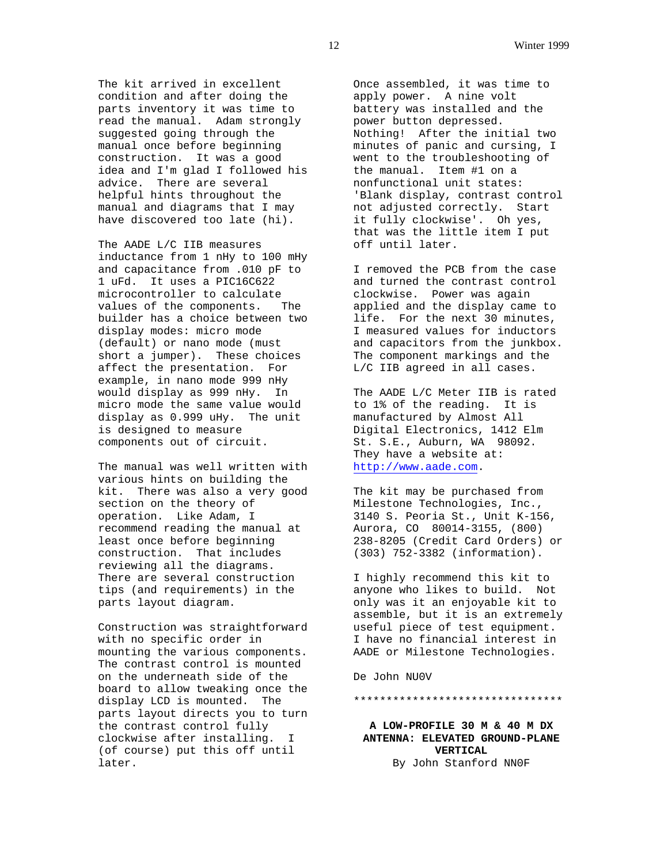The kit arrived in excellent condition and after doing the parts inventory it was time to read the manual. Adam strongly suggested going through the manual once before beginning construction. It was a good idea and I'm glad I followed his advice. There are several helpful hints throughout the manual and diagrams that I may have discovered too late (hi).

The AADE L/C IIB measures inductance from 1 nHy to 100 mHy and capacitance from .010 pF to 1 uFd. It uses a PIC16C622 microcontroller to calculate values of the components. The builder has a choice between two display modes: micro mode (default) or nano mode (must short a jumper). These choices affect the presentation. For example, in nano mode 999 nHy would display as 999 nHy. In micro mode the same value would display as 0.999 uHy. The unit is designed to measure components out of circuit.

The manual was well written with various hints on building the kit. There was also a very good section on the theory of operation. Like Adam, I recommend reading the manual at least once before beginning construction. That includes reviewing all the diagrams. There are several construction tips (and requirements) in the parts layout diagram.

Construction was straightforward with no specific order in mounting the various components. The contrast control is mounted on the underneath side of the board to allow tweaking once the display LCD is mounted. The parts layout directs you to turn the contrast control fully clockwise after installing. I (of course) put this off until later.

Once assembled, it was time to apply power. A nine volt battery was installed and the power button depressed. Nothing! After the initial two minutes of panic and cursing, I went to the troubleshooting of the manual. Item #1 on a nonfunctional unit states: 'Blank display, contrast control not adjusted correctly. Start it fully clockwise'. Oh yes, that was the little item I put off until later.

I removed the PCB from the case and turned the contrast control clockwise. Power was again applied and the display came to life. For the next 30 minutes, I measured values for inductors and capacitors from the junkbox. The component markings and the L/C IIB agreed in all cases.

The AADE L/C Meter IIB is rated to 1% of the reading. It is manufactured by Almost All Digital Electronics, 1412 Elm St. S.E., Auburn, WA 98092. They have a website at: http://www.aade.com.

The kit may be purchased from Milestone Technologies, Inc., 3140 S. Peoria St., Unit K-156, Aurora, CO 80014-3155, (800) 238-8205 (Credit Card Orders) or (303) 752-3382 (information).

I highly recommend this kit to anyone who likes to build. Not only was it an enjoyable kit to assemble, but it is an extremely useful piece of test equipment. I have no financial interest in AADE or Milestone Technologies.

De John NU0V

#### \*\*\*\*\*\*\*\*\*\*\*\*\*\*\*\*\*\*\*\*\*\*\*\*\*\*\*\*\*\*\*\*

**A LOW-PROFILE 30 M & 40 M DX ANTENNA: ELEVATED GROUND-PLANE VERTICAL** By John Stanford NN0F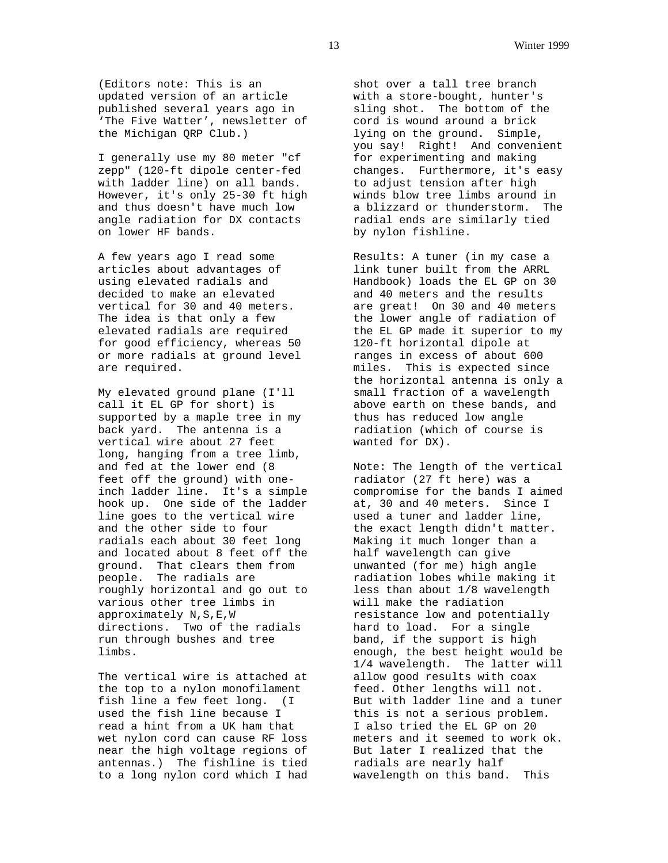(Editors note: This is an updated version of an article published several years ago in 'The Five Watter', newsletter of the Michigan QRP Club.)

I generally use my 80 meter "cf zepp" (120-ft dipole center-fed with ladder line) on all bands. However, it's only 25-30 ft high and thus doesn't have much low angle radiation for DX contacts on lower HF bands.

A few years ago I read some articles about advantages of using elevated radials and decided to make an elevated vertical for 30 and 40 meters. The idea is that only a few elevated radials are required for good efficiency, whereas 50 or more radials at ground level are required.

My elevated ground plane (I'll call it EL GP for short) is supported by a maple tree in my back yard. The antenna is a vertical wire about 27 feet long, hanging from a tree limb, and fed at the lower end (8 feet off the ground) with oneinch ladder line. It's a simple hook up. One side of the ladder line goes to the vertical wire and the other side to four radials each about 30 feet long and located about 8 feet off the ground. That clears them from people. The radials are roughly horizontal and go out to various other tree limbs in approximately N,S,E,W directions. Two of the radials run through bushes and tree limbs.

The vertical wire is attached at the top to a nylon monofilament fish line a few feet long. (I used the fish line because I read a hint from a UK ham that wet nylon cord can cause RF loss near the high voltage regions of antennas.) The fishline is tied to a long nylon cord which I had

shot over a tall tree branch with a store-bought, hunter's sling shot. The bottom of the cord is wound around a brick lying on the ground. Simple, you say! Right! And convenient for experimenting and making changes. Furthermore, it's easy to adjust tension after high winds blow tree limbs around in a blizzard or thunderstorm. The radial ends are similarly tied by nylon fishline.

Results: A tuner (in my case a link tuner built from the ARRL Handbook) loads the EL GP on 30 and 40 meters and the results are great! On 30 and 40 meters the lower angle of radiation of the EL GP made it superior to my 120-ft horizontal dipole at ranges in excess of about 600 miles. This is expected since the horizontal antenna is only a small fraction of a wavelength above earth on these bands, and thus has reduced low angle radiation (which of course is wanted for DX).

Note: The length of the vertical radiator (27 ft here) was a compromise for the bands I aimed at, 30 and 40 meters. Since I used a tuner and ladder line, the exact length didn't matter. Making it much longer than a half wavelength can give unwanted (for me) high angle radiation lobes while making it less than about 1/8 wavelength will make the radiation resistance low and potentially hard to load. For a single band, if the support is high enough, the best height would be 1/4 wavelength. The latter will allow good results with coax feed. Other lengths will not. But with ladder line and a tuner this is not a serious problem. I also tried the EL GP on 20 meters and it seemed to work ok. But later I realized that the radials are nearly half wavelength on this band. This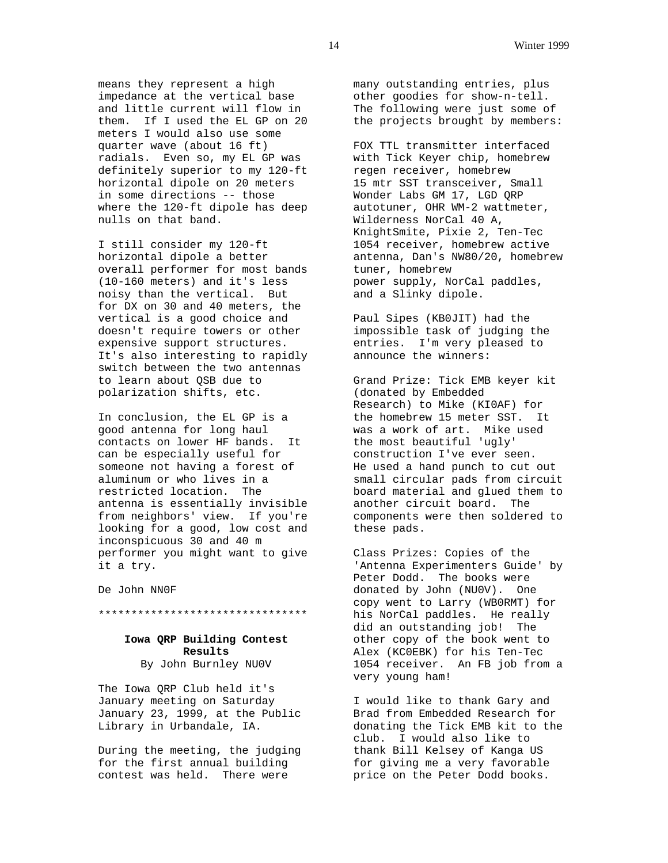means they represent a high impedance at the vertical base and little current will flow in them. If I used the EL GP on 20 meters I would also use some quarter wave (about 16 ft) radials. Even so, my EL GP was definitely superior to my 120-ft horizontal dipole on 20 meters in some directions -- those where the 120-ft dipole has deep nulls on that band.

I still consider my 120-ft horizontal dipole a better overall performer for most bands (10-160 meters) and it's less noisy than the vertical. But for DX on 30 and 40 meters, the vertical is a good choice and doesn't require towers or other expensive support structures. It's also interesting to rapidly switch between the two antennas to learn about QSB due to polarization shifts, etc.

In conclusion, the EL GP is a good antenna for long haul contacts on lower HF bands. It can be especially useful for someone not having a forest of aluminum or who lives in a restricted location. The antenna is essentially invisible from neighbors' view. If you're looking for a good, low cost and inconspicuous 30 and 40 m performer you might want to give it a try.

De John NN0F

\*\*\*\*\*\*\*\*\*\*\*\*\*\*\*\*\*\*\*\*\*\*\*\*\*\*\*\*\*\*\*\*

## **Iowa QRP Building Contest Results** By John Burnley NU0V

The Iowa QRP Club held it's January meeting on Saturday January 23, 1999, at the Public Library in Urbandale, IA.

During the meeting, the judging for the first annual building contest was held. There were

many outstanding entries, plus other goodies for show-n-tell. The following were just some of the projects brought by members:

FOX TTL transmitter interfaced with Tick Keyer chip, homebrew regen receiver, homebrew 15 mtr SST transceiver, Small Wonder Labs GM 17, LGD QRP autotuner, OHR WM-2 wattmeter, Wilderness NorCal 40 A, KnightSmite, Pixie 2, Ten-Tec 1054 receiver, homebrew active antenna, Dan's NW80/20, homebrew tuner, homebrew power supply, NorCal paddles, and a Slinky dipole.

Paul Sipes (KB0JIT) had the impossible task of judging the entries. I'm very pleased to announce the winners:

Grand Prize: Tick EMB keyer kit (donated by Embedded Research) to Mike (KI0AF) for the homebrew 15 meter SST. It was a work of art. Mike used the most beautiful 'ugly' construction I've ever seen. He used a hand punch to cut out small circular pads from circuit board material and glued them to another circuit board. The components were then soldered to these pads.

Class Prizes: Copies of the 'Antenna Experimenters Guide' by Peter Dodd. The books were donated by John (NU0V). One copy went to Larry (WB0RMT) for his NorCal paddles. He really did an outstanding job! The other copy of the book went to Alex (KC0EBK) for his Ten-Tec 1054 receiver. An FB job from a very young ham!

I would like to thank Gary and Brad from Embedded Research for donating the Tick EMB kit to the club. I would also like to thank Bill Kelsey of Kanga US for giving me a very favorable price on the Peter Dodd books.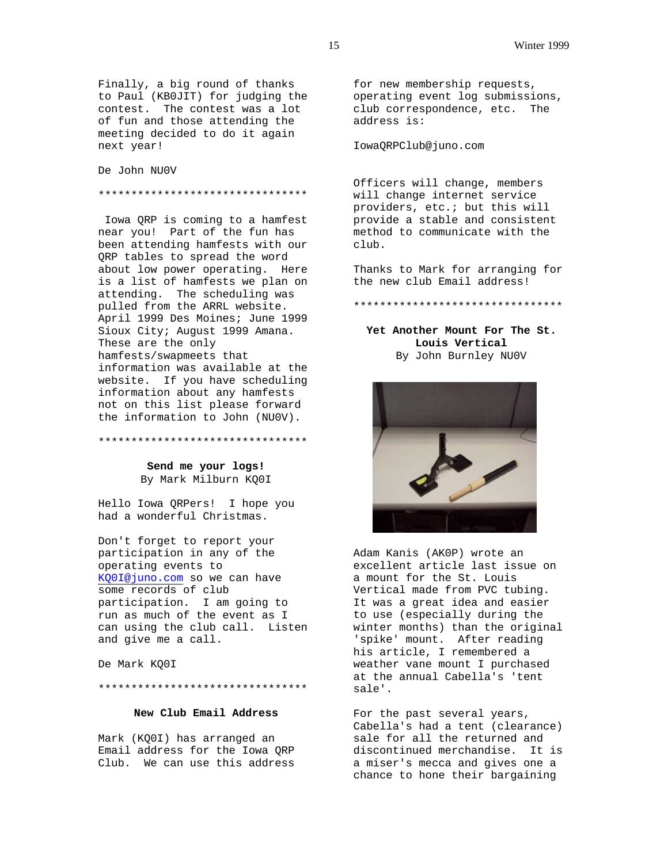Finally, a big round of thanks to Paul (KB0JIT) for judging the contest. The contest was a lot of fun and those attending the meeting decided to do it again next year!

De John NU0V

#### \*\*\*\*\*\*\*\*\*\*\*\*\*\*\*\*\*\*\*\*\*\*\*\*\*\*\*\*\*\*\*\*

 Iowa QRP is coming to a hamfest near you! Part of the fun has been attending hamfests with our QRP tables to spread the word about low power operating. Here is a list of hamfests we plan on attending. The scheduling was pulled from the ARRL website. April 1999 Des Moines; June 1999 Sioux City; August 1999 Amana. These are the only hamfests/swapmeets that information was available at the website. If you have scheduling information about any hamfests not on this list please forward the information to John (NU0V).

#### \*\*\*\*\*\*\*\*\*\*\*\*\*\*\*\*\*\*\*\*\*\*\*\*\*\*\*\*\*\*\*\*

**Send me your logs!** By Mark Milburn KQ0I

Hello Iowa QRPers! I hope you had a wonderful Christmas.

Don't forget to report your participation in any of the operating events to KQ0I@juno.com so we can have some records of club participation. I am going to run as much of the event as I can using the club call. Listen and give me a call.

De Mark KQ0I

#### \*\*\*\*\*\*\*\*\*\*\*\*\*\*\*\*\*\*\*\*\*\*\*\*\*\*\*\*\*\*\*\*

## **New Club Email Address**

Mark (KQ0I) has arranged an Email address for the Iowa QRP Club. We can use this address

for new membership requests, operating event log submissions, club correspondence, etc. The address is:

IowaQRPClub@juno.com

Officers will change, members will change internet service providers, etc.; but this will provide a stable and consistent method to communicate with the club.

Thanks to Mark for arranging for the new club Email address!

\*\*\*\*\*\*\*\*\*\*\*\*\*\*\*\*\*\*\*\*\*\*\*\*\*\*\*\*\*\*\*\*

## **Yet Another Mount For The St. Louis Vertical** By John Burnley NU0V



Adam Kanis (AK0P) wrote an excellent article last issue on a mount for the St. Louis Vertical made from PVC tubing. It was a great idea and easier to use (especially during the winter months) than the original 'spike' mount. After reading his article, I remembered a weather vane mount I purchased at the annual Cabella's 'tent sale'.

For the past several years, Cabella's had a tent (clearance) sale for all the returned and discontinued merchandise. It is a miser's mecca and gives one a chance to hone their bargaining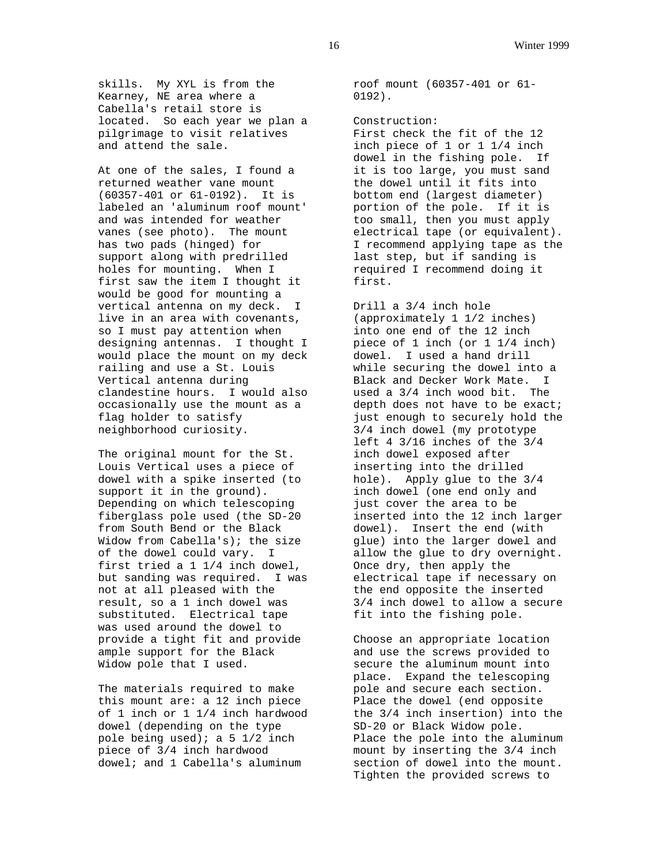skills. My XYL is from the Kearney, NE area where a Cabella's retail store is located. So each year we plan a pilgrimage to visit relatives and attend the sale.

At one of the sales, I found a returned weather vane mount (60357-401 or 61-0192). It is labeled an 'aluminum roof mount' and was intended for weather vanes (see photo). The mount has two pads (hinged) for support along with predrilled holes for mounting. When I first saw the item I thought it would be good for mounting a vertical antenna on my deck. I live in an area with covenants, so I must pay attention when designing antennas. I thought I would place the mount on my deck railing and use a St. Louis Vertical antenna during clandestine hours. I would also occasionally use the mount as a flag holder to satisfy neighborhood curiosity.

The original mount for the St. Louis Vertical uses a piece of dowel with a spike inserted (to support it in the ground). Depending on which telescoping fiberglass pole used (the SD-20 from South Bend or the Black Widow from Cabella's); the size of the dowel could vary. I first tried a 1 1/4 inch dowel, but sanding was required. I was not at all pleased with the result, so a 1 inch dowel was substituted. Electrical tape was used around the dowel to provide a tight fit and provide ample support for the Black Widow pole that I used.

The materials required to make this mount are: a 12 inch piece of 1 inch or 1 1/4 inch hardwood dowel (depending on the type pole being used); a 5  $1/2$  inch piece of 3/4 inch hardwood dowel; and 1 Cabella's aluminum

roof mount (60357-401 or 61- 0192).

Construction: First check the fit of the 12 inch piece of 1 or 1 1/4 inch dowel in the fishing pole. If it is too large, you must sand the dowel until it fits into bottom end (largest diameter) portion of the pole. If it is too small, then you must apply electrical tape (or equivalent). I recommend applying tape as the last step, but if sanding is required I recommend doing it first.

Drill a 3/4 inch hole (approximately 1 1/2 inches) into one end of the 12 inch piece of 1 inch (or 1 1/4 inch) dowel. I used a hand drill while securing the dowel into a Black and Decker Work Mate. I used a 3/4 inch wood bit. The depth does not have to be exact; just enough to securely hold the 3/4 inch dowel (my prototype left 4 3/16 inches of the 3/4 inch dowel exposed after inserting into the drilled hole). Apply glue to the 3/4 inch dowel (one end only and just cover the area to be inserted into the 12 inch larger dowel). Insert the end (with glue) into the larger dowel and allow the glue to dry overnight. Once dry, then apply the electrical tape if necessary on the end opposite the inserted 3/4 inch dowel to allow a secure fit into the fishing pole.

Choose an appropriate location and use the screws provided to secure the aluminum mount into place. Expand the telescoping pole and secure each section. Place the dowel (end opposite the 3/4 inch insertion) into the SD-20 or Black Widow pole. Place the pole into the aluminum mount by inserting the 3/4 inch section of dowel into the mount. Tighten the provided screws to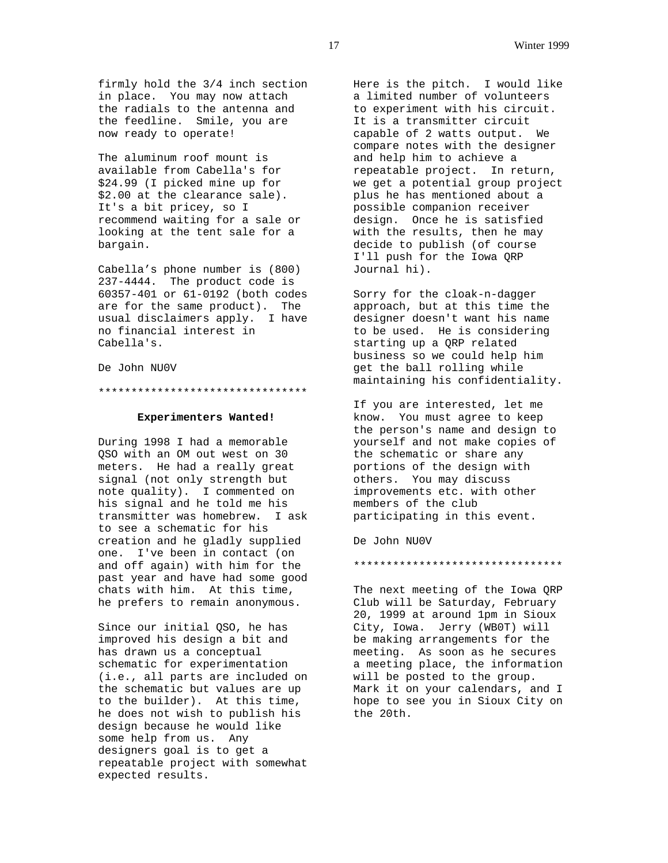firmly hold the 3/4 inch section in place. You may now attach the radials to the antenna and the feedline. Smile, you are now ready to operate!

The aluminum roof mount is available from Cabella's for \$24.99 (I picked mine up for \$2.00 at the clearance sale). It's a bit pricey, so I recommend waiting for a sale or looking at the tent sale for a bargain.

Cabella's phone number is (800) 237-4444. The product code is 60357-401 or 61-0192 (both codes are for the same product). The usual disclaimers apply. I have no financial interest in Cabella's.

De John NU0V

\*\*\*\*\*\*\*\*\*\*\*\*\*\*\*\*\*\*\*\*\*\*\*\*\*\*\*\*\*\*\*\*

## **Experimenters Wanted!**

During 1998 I had a memorable QSO with an OM out west on 30 meters. He had a really great signal (not only strength but note quality). I commented on his signal and he told me his transmitter was homebrew. I ask to see a schematic for his creation and he gladly supplied one. I've been in contact (on and off again) with him for the past year and have had some good chats with him. At this time, he prefers to remain anonymous.

Since our initial QSO, he has improved his design a bit and has drawn us a conceptual schematic for experimentation (i.e., all parts are included on the schematic but values are up to the builder). At this time, he does not wish to publish his design because he would like some help from us. Any designers goal is to get a repeatable project with somewhat expected results.

Here is the pitch. I would like a limited number of volunteers to experiment with his circuit. It is a transmitter circuit capable of 2 watts output. We compare notes with the designer and help him to achieve a repeatable project. In return, we get a potential group project plus he has mentioned about a possible companion receiver design. Once he is satisfied with the results, then he may decide to publish (of course I'll push for the Iowa QRP Journal hi).

Sorry for the cloak-n-dagger approach, but at this time the designer doesn't want his name to be used. He is considering starting up a QRP related business so we could help him get the ball rolling while maintaining his confidentiality.

If you are interested, let me know. You must agree to keep the person's name and design to yourself and not make copies of the schematic or share any portions of the design with others. You may discuss improvements etc. with other members of the club participating in this event.

De John NU0V

#### \*\*\*\*\*\*\*\*\*\*\*\*\*\*\*\*\*\*\*\*\*\*\*\*\*\*\*\*\*\*\*\*

The next meeting of the Iowa QRP Club will be Saturday, February 20, 1999 at around 1pm in Sioux City, Iowa. Jerry (WB0T) will be making arrangements for the meeting. As soon as he secures a meeting place, the information will be posted to the group. Mark it on your calendars, and I hope to see you in Sioux City on the 20th.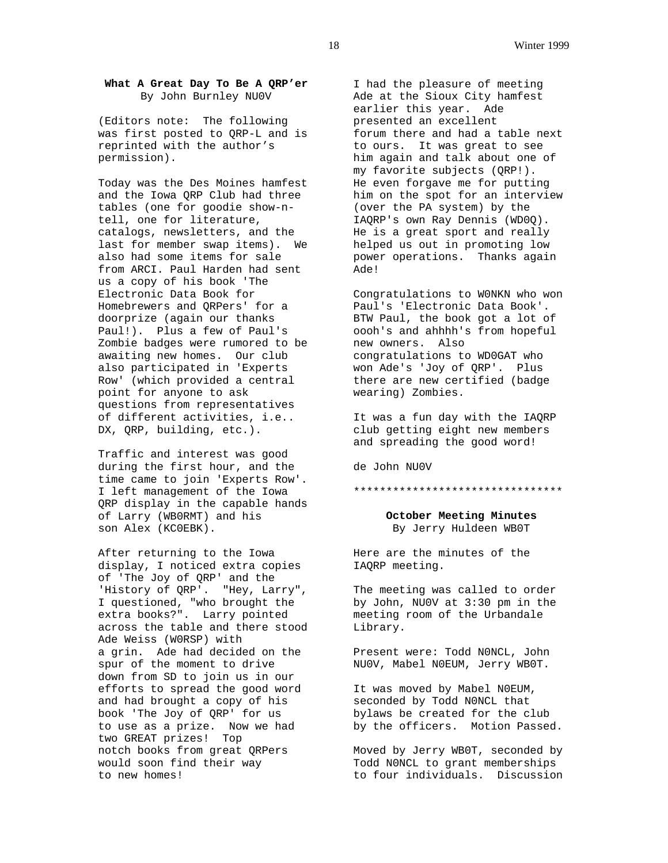## **What A Great Day To Be A QRP'er** By John Burnley NU0V

(Editors note: The following was first posted to QRP-L and is reprinted with the author's permission).

Today was the Des Moines hamfest and the Iowa QRP Club had three tables (one for goodie show-ntell, one for literature, catalogs, newsletters, and the last for member swap items). We also had some items for sale from ARCI. Paul Harden had sent us a copy of his book 'The Electronic Data Book for Homebrewers and QRPers' for a doorprize (again our thanks Paul!). Plus a few of Paul's Zombie badges were rumored to be awaiting new homes. Our club also participated in 'Experts Row' (which provided a central point for anyone to ask questions from representatives of different activities, i.e.. DX, QRP, building, etc.).

Traffic and interest was good during the first hour, and the time came to join 'Experts Row'. I left management of the Iowa QRP display in the capable hands of Larry (WB0RMT) and his son Alex (KC0EBK).

After returning to the Iowa display, I noticed extra copies of 'The Joy of QRP' and the 'History of QRP'. "Hey, Larry", I questioned, "who brought the extra books?". Larry pointed across the table and there stood Ade Weiss (W0RSP) with a grin. Ade had decided on the spur of the moment to drive down from SD to join us in our efforts to spread the good word and had brought a copy of his book 'The Joy of QRP' for us to use as a prize. Now we had two GREAT prizes! Top notch books from great QRPers would soon find their way to new homes!

I had the pleasure of meeting Ade at the Sioux City hamfest earlier this year. Ade presented an excellent forum there and had a table next to ours. It was great to see him again and talk about one of my favorite subjects (QRP!). He even forgave me for putting him on the spot for an interview (over the PA system) by the IAQRP's own Ray Dennis (WD0Q). He is a great sport and really helped us out in promoting low power operations. Thanks again Ade!

Congratulations to W0NKN who won Paul's 'Electronic Data Book'. BTW Paul, the book got a lot of oooh's and ahhhh's from hopeful new owners. Also congratulations to WD0GAT who won Ade's 'Joy of QRP'. Plus there are new certified (badge wearing) Zombies.

It was a fun day with the IAQRP club getting eight new members and spreading the good word!

de John NU0V

#### \*\*\*\*\*\*\*\*\*\*\*\*\*\*\*\*\*\*\*\*\*\*\*\*\*\*\*\*\*\*\*\*

**October Meeting Minutes** By Jerry Huldeen WB0T

Here are the minutes of the IAQRP meeting.

The meeting was called to order by John, NU0V at 3:30 pm in the meeting room of the Urbandale Library.

Present were: Todd N0NCL, John NU0V, Mabel N0EUM, Jerry WB0T.

It was moved by Mabel N0EUM, seconded by Todd N0NCL that bylaws be created for the club by the officers. Motion Passed.

Moved by Jerry WB0T, seconded by Todd N0NCL to grant memberships to four individuals. Discussion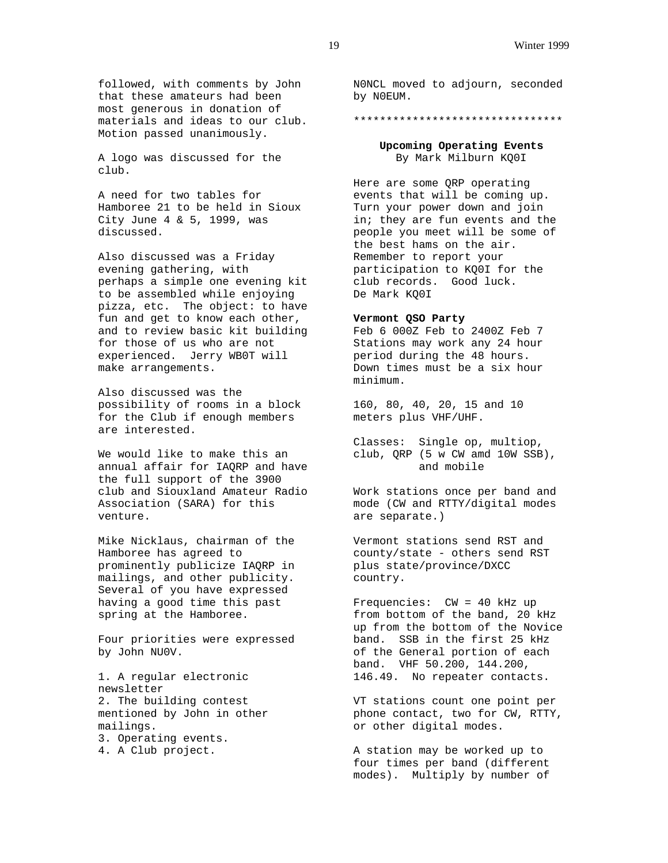followed, with comments by John that these amateurs had been most generous in donation of materials and ideas to our club. Motion passed unanimously.

A logo was discussed for the club.

A need for two tables for Hamboree 21 to be held in Sioux City June 4 & 5, 1999, was discussed.

Also discussed was a Friday evening gathering, with perhaps a simple one evening kit to be assembled while enjoying pizza, etc. The object: to have fun and get to know each other, and to review basic kit building for those of us who are not experienced. Jerry WB0T will make arrangements.

Also discussed was the possibility of rooms in a block for the Club if enough members are interested.

We would like to make this an annual affair for IAQRP and have the full support of the 3900 club and Siouxland Amateur Radio Association (SARA) for this venture.

Mike Nicklaus, chairman of the Hamboree has agreed to prominently publicize IAQRP in mailings, and other publicity. Several of you have expressed having a good time this past spring at the Hamboree.

Four priorities were expressed by John NU0V.

1. A regular electronic newsletter 2. The building contest mentioned by John in other mailings. 3. Operating events. 4. A Club project.

N0NCL moved to adjourn, seconded by N0EUM.

#### \*\*\*\*\*\*\*\*\*\*\*\*\*\*\*\*\*\*\*\*\*\*\*\*\*\*\*\*\*\*\*\*

**Upcoming Operating Events** By Mark Milburn KQ0I

Here are some QRP operating events that will be coming up. Turn your power down and join in; they are fun events and the people you meet will be some of the best hams on the air. Remember to report your participation to KQ0I for the club records. Good luck. De Mark KQ0I

## **Vermont QSO Party**

Feb 6 000Z Feb to 2400Z Feb 7 Stations may work any 24 hour period during the 48 hours. Down times must be a six hour minimum.

160, 80, 40, 20, 15 and 10 meters plus VHF/UHF.

Classes: Single op, multiop, club, QRP (5 w CW amd 10W SSB), and mobile

Work stations once per band and mode (CW and RTTY/digital modes are separate.)

Vermont stations send RST and county/state - others send RST plus state/province/DXCC country.

Frequencies: CW = 40 kHz up from bottom of the band, 20 kHz up from the bottom of the Novice band. SSB in the first 25 kHz of the General portion of each band. VHF 50.200, 144.200, 146.49. No repeater contacts.

VT stations count one point per phone contact, two for CW, RTTY, or other digital modes.

A station may be worked up to four times per band (different modes). Multiply by number of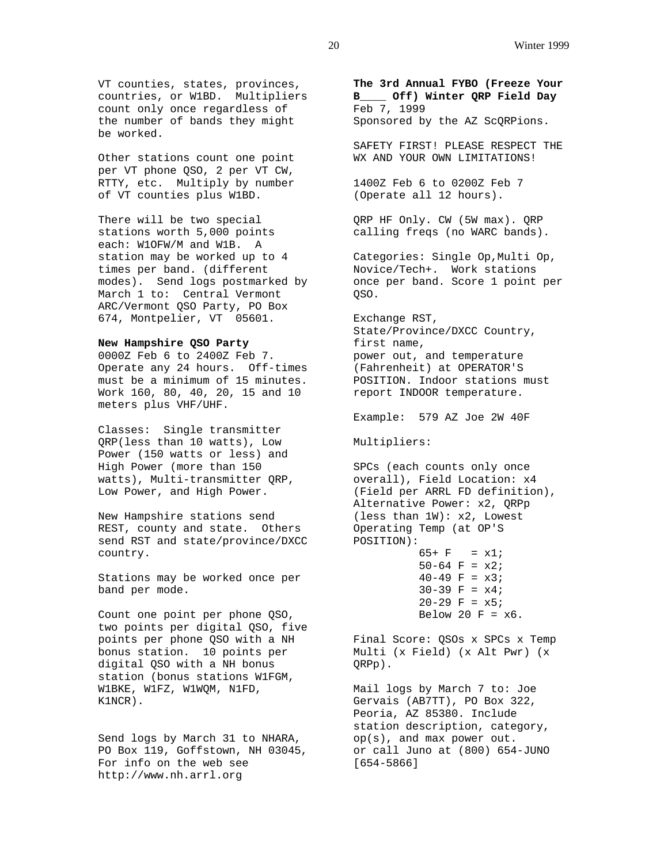VT counties, states, provinces, countries, or W1BD. Multipliers count only once regardless of the number of bands they might be worked.

Other stations count one point per VT phone QSO, 2 per VT CW, RTTY, etc. Multiply by number of VT counties plus W1BD.

There will be two special stations worth 5,000 points each: W1OFW/M and W1B. A station may be worked up to 4 times per band. (different modes). Send logs postmarked by March 1 to: Central Vermont ARC/Vermont QSO Party, PO Box 674, Montpelier, VT 05601.

## **New Hampshire QSO Party**

0000Z Feb 6 to 2400Z Feb 7. Operate any 24 hours. Off-times must be a minimum of 15 minutes. Work 160, 80, 40, 20, 15 and 10 meters plus VHF/UHF.

Classes: Single transmitter QRP(less than 10 watts), Low Power (150 watts or less) and High Power (more than 150 watts), Multi-transmitter QRP, Low Power, and High Power.

New Hampshire stations send REST, county and state. Others send RST and state/province/DXCC country.

Stations may be worked once per band per mode.

Count one point per phone QSO, two points per digital QSO, five points per phone QSO with a NH bonus station. 10 points per digital QSO with a NH bonus station (bonus stations W1FGM, W1BKE, W1FZ, W1WQM, N1FD, K1NCR).

Send logs by March 31 to NHARA, PO Box 119, Goffstown, NH 03045, For info on the web see http://www.nh.arrl.org

**The 3rd Annual FYBO (Freeze Your B\_\_\_\_ Off) Winter QRP Field Day** Feb 7, 1999 Sponsored by the AZ ScQRPions.

SAFETY FIRST! PLEASE RESPECT THE WX AND YOUR OWN LIMITATIONS!

1400Z Feb 6 to 0200Z Feb 7 (Operate all 12 hours).

QRP HF Only. CW (5W max). QRP calling freqs (no WARC bands).

Categories: Single Op,Multi Op, Novice/Tech+. Work stations once per band. Score 1 point per QSO.

Exchange RST, State/Province/DXCC Country, first name, power out, and temperature (Fahrenheit) at OPERATOR'S POSITION. Indoor stations must report INDOOR temperature.

Example: 579 AZ Joe 2W 40F

Multipliers:

```
SPCs (each counts only once
overall), Field Location: x4
(Field per ARRL FD definition),
Alternative Power: x2, QRPp
(less than 1W): x2, Lowest
Operating Temp (at OP'S
POSITION):
          65+ F = x1;
```
 $50-64$  F =  $x2$ ;  $40-49$  F =  $x3$ ;  $30-39$  F =  $x4$ ;  $20-29$  F =  $x5$ ; Below 20  $F = x6$ .

Final Score: QSOs x SPCs x Temp Multi (x Field) (x Alt Pwr) (x QRPp).

Mail logs by March 7 to: Joe Gervais (AB7TT), PO Box 322, Peoria, AZ 85380. Include station description, category, op(s), and max power out. or call Juno at (800) 654-JUNO [654-5866]